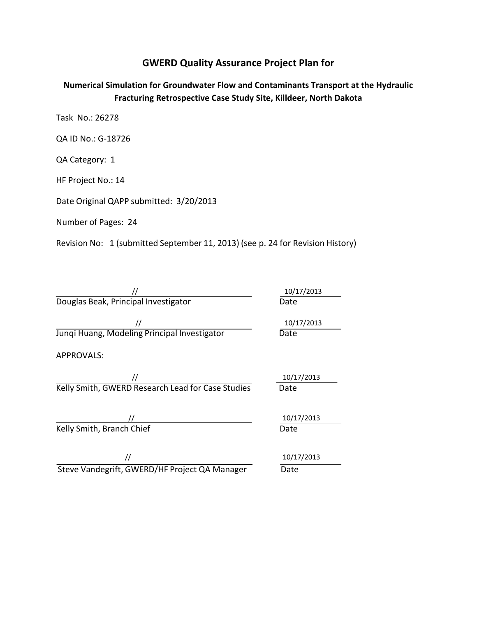# **GWERD Quality Assurance Project Plan for**

# **Numerical Simulation for Groundwater Flow and Contaminants Transport at the Hydraulic Fracturing Retrospective Case Study Site, Killdeer, North Dakota**

Task No.: 26278

QA ID No.: G-18726

QA Category: 1

HF Project No.: 14

Date Original QAPP submitted: 3/20/2013

Number of Pages: 24

Revision No: 1 (submitted September 11, 2013) (see p. 24 for Revision History)

// 10/17/2013 Douglas Beak, Principal Investigator **Date** Date

// 10/17/2013 Junqi Huang, Modeling Principal Investigator Date

APPROVALS:

 $\overline{a}$ // 10/17/2013 Kelly Smith, GWERD Research Lead for Case Studies Date

Kelly Smith, Branch Chief Date Date

// 10/17/2013 Steve Vandegrift, GWERD/HF Project QA Manager Date

10/17/2013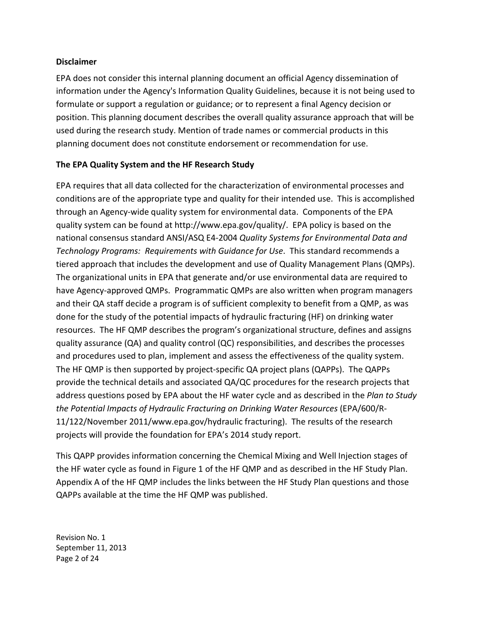#### **Disclaimer**

 EPA does not consider this internal planning document an official Agency dissemination of information under the Agency's Information Quality Guidelines, because it is not being used to formulate or support a regulation or guidance; or to represent a final Agency decision or position. This planning document describes the overall quality assurance approach that will be used during the research study. Mention of trade names or commercial products in this planning document does not constitute endorsement or recommendation for use.

#### **The EPA Quality System and the HF Research Study**

 EPA requires that all data collected for the characterization of environmental processes and conditions are of the appropriate type and quality for their intended use. This is accomplished through an Agency-wide quality system for environmental data. Components of the EPA quality system can be found at [http://www.epa.gov/quality/. EP](http://www.epa.gov/quality/)A policy is based on the national consensus standard ANSI/ASQ E4-2004 *Quality Systems for Environmental Data and Technology Programs: Requirements with Guidance for Use*. This standard recommends a tiered approach that includes the development and use of Quality Management Plans (QMPs). The organizational units in EPA that generate and/or use environmental data are required to have Agency-approved QMPs. Programmatic QMPs are also written when program managers and their QA staff decide a program is of sufficient complexity to benefit from a QMP, as was done for the study of the potential impacts of hydraulic fracturing (HF) on drinking water resources. The HF QMP describes the program's organizational structure, defines and assigns quality assurance (QA) and quality control (QC) responsibilities, and describes the processes and procedures used to plan, implement and assess the effectiveness of the quality system. The HF QMP is then supported by project-specific QA project plans (QAPPs). The QAPPs provide the technical details and associated QA/QC procedures for the research projects that address questions posed by EPA about the HF water cycle and as described in the *Plan to Study the Potential Impacts of Hydraulic Fracturing on Drinking Water Resources* (EPA/600/R- 11/122/November 2011/[www.epa.gov/hydraulic fra](http://www.epa.gov/hydraulic)cturing). The results of the research projects will provide the foundation for EPA's 2014 study report.

 This QAPP provides information concerning the Chemical Mixing and Well Injection stages of the HF water cycle as found in Figure 1 of the HF QMP and as described in the HF Study Plan. Appendix A of the HF QMP includes the links between the HF Study Plan questions and those QAPPs available at the time the HF QMP was published.

 Revision No. 1 September 11, 2013 Page 2 of 24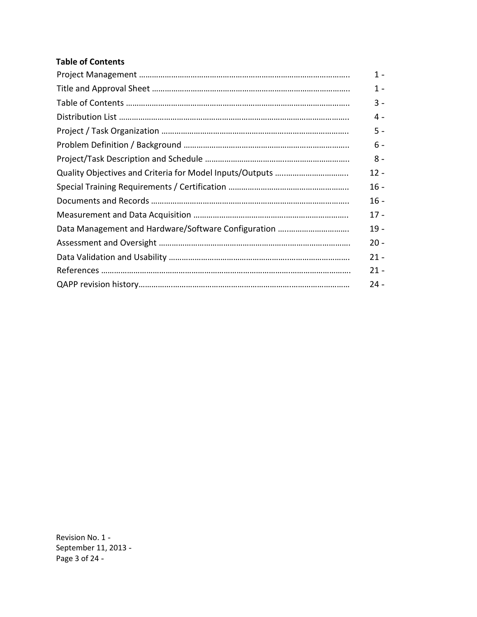#### **Table of Contents**

| $1 -$  |
|--------|
| 1 -    |
| $3 -$  |
| 4 -    |
| 5 -    |
| $6 -$  |
| $8 -$  |
| $12 -$ |
| $16 -$ |
| $16 -$ |
| $17 -$ |
| $19 -$ |
| $20 -$ |
| $21 -$ |
| $21 -$ |
| $24 -$ |

 Revision No. 1 September 11, 2013 Page 3 of 24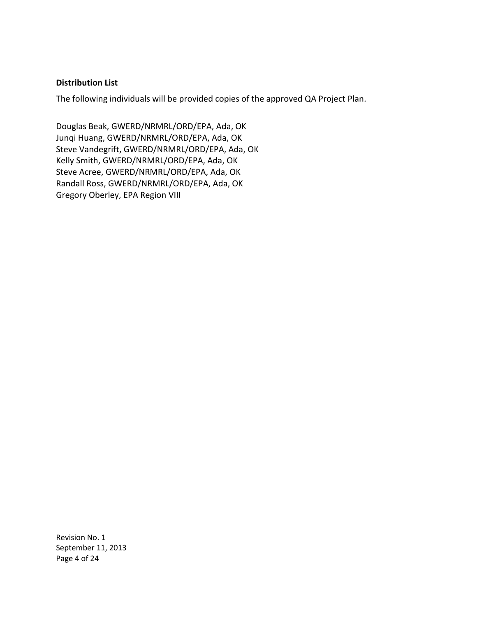#### **Distribution List**

The following individuals will be provided copies of the approved QA Project Plan.

 Douglas Beak, GWERD/NRMRL/ORD/EPA, Ada, OK Junqi Huang, GWERD/NRMRL/ORD/EPA, Ada, OK Steve Vandegrift, GWERD/NRMRL/ORD/EPA, Ada, OK Kelly Smith, GWERD/NRMRL/ORD/EPA, Ada, OK Steve Acree, GWERD/NRMRL/ORD/EPA, Ada, OK Randall Ross, GWERD/NRMRL/ORD/EPA, Ada, OK Gregory Oberley, EPA Region VIII

 Revision No. 1 September 11, 2013 Page 4 of 24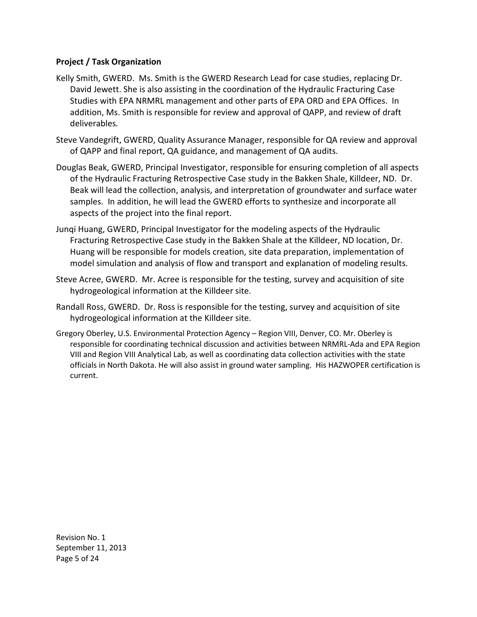#### **Project / Task Organization**

- Kelly Smith, GWERD. Ms. Smith is the GWERD Research Lead for case studies, replacing Dr. David Jewett. She is also assisting in the coordination of the Hydraulic Fracturing Case Studies with EPA NRMRL management and other parts of EPA ORD and EPA Offices. In addition, Ms. Smith is responsible for review and approval of QAPP, and review of draft deliverables*.*
- Steve Vandegrift, GWERD, Quality Assurance Manager, responsible for QA review and approval of QAPP and final report, QA guidance, and management of QA audits.
- Douglas Beak, GWERD, Principal Investigator, responsible for ensuring completion of all aspects of the Hydraulic Fracturing Retrospective Case study in the Bakken Shale, Killdeer, ND. Dr. Beak will lead the collection, analysis, and interpretation of groundwater and surface water samples. In addition, he will lead the GWERD efforts to synthesize and incorporate all aspects of the project into the final report.
- Junqi Huang, GWERD, Principal Investigator for the modeling aspects of the Hydraulic Fracturing Retrospective Case study in the Bakken Shale at the Killdeer, ND location, Dr. Huang will be responsible for models creation, site data preparation, implementation of model simulation and analysis of flow and transport and explanation of modeling results.
- Steve Acree, GWERD. Mr. Acree is responsible for the testing, survey and acquisition of site hydrogeological information at the Killdeer site.
- Randall Ross, GWERD. Dr. Ross is responsible for the testing, survey and acquisition of site hydrogeological information at the Killdeer site.
- Gregory Oberley, U.S. Environmental Protection Agency Region VIII, Denver, CO. Mr. Oberley is responsible for coordinating technical discussion and activities between NRMRL-Ada and EPA Region VIII and Region VIII Analytical Lab, as well as coordinating data collection activities with the state officials in North Dakota. He will also assist in ground water sampling. His HAZWOPER certification is current.

 Revision No. 1 September 11, 2013 Page 5 of 24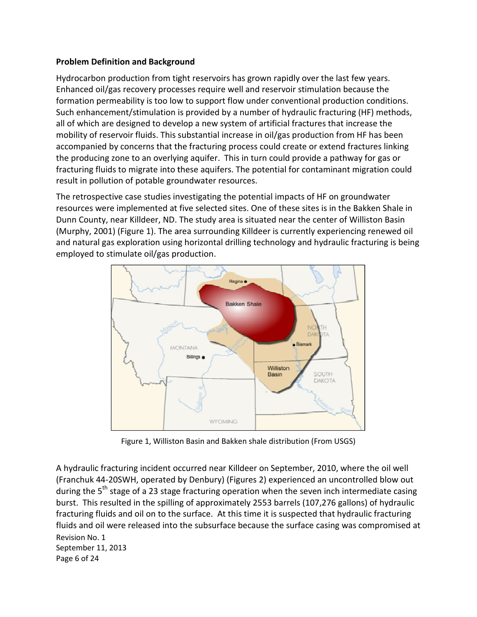## **Problem Definition and Background**

Hydrocarbon production from tight reservoirs has grown rapidly over the last few years. Hydrocarbon production from tight reservoirs has grown rapidly over the last few years.<br>Enhanced oil/gas recovery processes require well and reservoir stimulation because the formation permeability is too low to support flow under conventional production conditions. Such enhancement/stimulation is provided by a number of hydraulic fracturing (HF) methods, all of which are designed to develop a new system of artificial fractures that increase the mobility of reservoir fluids. This substantial increase in oil/gas production from HF has been accompanied by concerns that the fracturing process could create or extend fractures linking the producing zone to an overlying aquifer. This in turn could provide a pathway for gas or fracturing fluids to migrate into these aquifers. The potential for contaminant migration could in pollution of potable groundwater resources.

result in pollution of potable groundwater resources.<br>The retrospective case studies investigating the potential impacts of HF on groundwater<br>resources were implemented at five selected sites. One of these sites is in the resources were implemented at five selected sites. One of these sites is in the Bakken Shale in Dunn County, near Killdeer, ND. The study area is situated near the center of Williston Basin Dunn County, near Killdeer, ND. The study area is situated near the center of Williston Basin<br>(Murphy, 2001) (Figure 1). The area surrounding Killdeer is currently experiencing renewed oil horizontal drilling technology and hydraulic fracturing is being natural gas exploration using horizonta<br>bloyed to stimulate oil/gas production. (Murphy, 2001) (Figure 1). The area surrounding Killdeer is currently experiencing renewed oil<br>and natural gas exploration using horizontal drilling technology and hydraulic fracturing is being<br>employed to stimulate oil/ga and natural gas exploration using horizontal drilling technology and hydraulic fracturing is being



1, Williston Basin and Bakken shale d

A hydraulic fracturing incident occurred near Killdeer on September, 2010, where the oil well (Franchuk 44-20SWH, operated by Denbury) (Figures 2) experienced an uncontrolled blow out during the 5<sup>th</sup> stage of a 23 stage fracturing operation when the seven inch intermediate casing burst. This resulted in the spilling of approximately 2553 barrels (107,276 gallons) of hydraulic fluids and oil on to the surface. At this time it is suspected that hydraulic fracturing fluids and oil were released into the subsurface because the surface casing was compromised at Revision No. 1 September 11, 2013 Page 6 of 24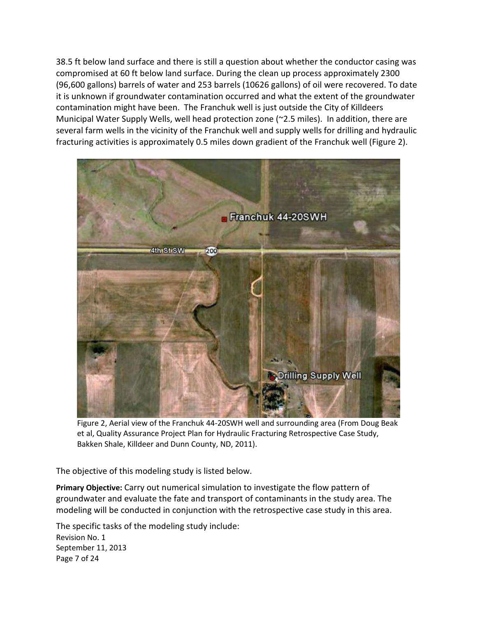38.5 ft below land surface and there is still a question about whether the conductor casing was compromised at 60 ft below land surface. During the clean up process approximately 2300 (96,600 gallons) barrels of water and 253 barrels (10626 gallons) of oil were recovered. To date it is unknown if groundwater contamination occurred and what the extent of the groundwater contamination might have been. The Franchuk well is just outside the City of Killdeers Municipal Water Supply Wells, well head protection zone (~2.5 miles). In addition, there are several farm wells in the vicinity of the Franchuk well and supply wells for drilling and hydraulic fracturing activities is approximately 0.5 miles down gradient of the Franchuk well (Figure 2).



 Figure 2, Aerial view of the Franchuk 44-20SWH well and surrounding area (From Doug Beak et al, Quality Assurance Project Plan for Hydraulic Fracturing Retrospective Case Study, Bakken Shale, Killdeer and Dunn County, ND, 2011).

The objective of this modeling study is listed below.

 **Primary Objective:** Carry out numerical simulation to investigate the flow pattern of groundwater and evaluate the fate and transport of contaminants in the study area. The modeling will be conducted in conjunction with the retrospective case study in this area.

 Revision No. 1 September 11, 2013 Page 7 of 24 The specific tasks of the modeling study include: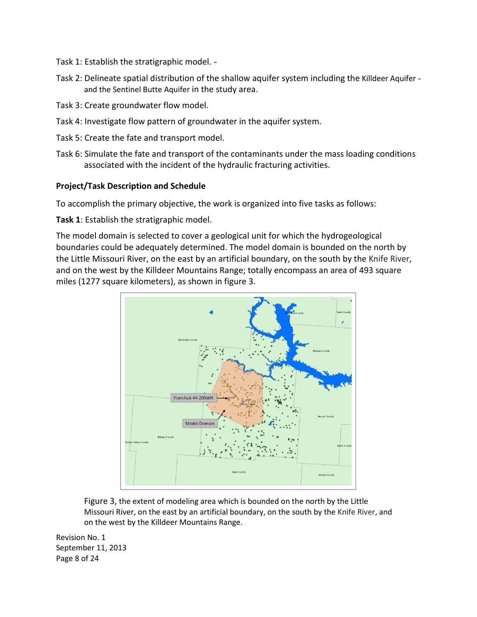Task 1: Establish the stratigraphic model.

- Task 2: Delineate spatial distribution of the shallow aquifer system including the Killdeer Aquifer and the Sentinel Butte Aquifer in the study area.
- Task 3: Create groundwater flow model.
- Task 4: Investigate flow pattern of groundwater in the aquifer system.
- Task 5: Create the fate and transport model.
- Task 6: Simulate the fate and transport of the contaminants under the mass loading conditions associated with the incident of the hydraulic fracturing activities.

#### **Project/Task Description and Schedule**

To accomplish the primary objective, the work is organized into five tasks as follows:

**Task 1**: Establish the stratigraphic model.

 The model domain is selected to cover a geological unit for which the hydrogeological boundaries could be adequately determined. The model domain is bounded on the north by the Little Missouri River, on the east by an artificial boundary, on the south by the Knife River, and on the west by the Killdeer Mountains Range; totally encompass an area of 493 square miles (1277 square kilometers), as shown in figure 3.



 Figure 3, the extent of modeling area which is bounded on the north by the Little Missouri River, on the east by an artificial boundary, on the south by the Knife River, and on the west by the Killdeer Mountains Range.

 Revision No. 1 September 11, 2013 Page 8 of 24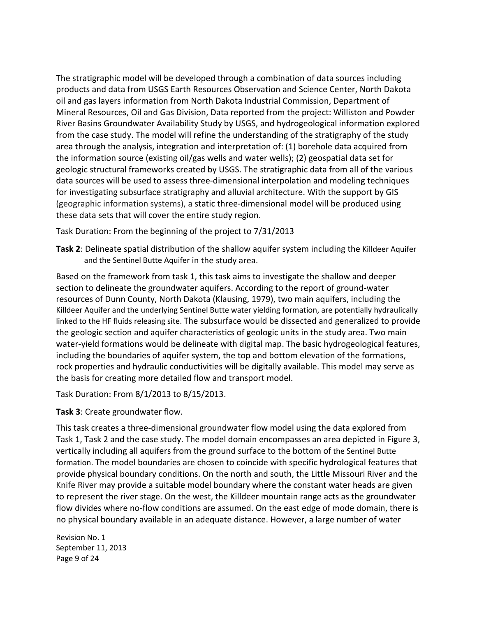The stratigraphic model will be developed through a combination of data sources including products and data from USGS Earth Resources Observation and Science Center, North Dakota oil and gas layers information from North Dakota Industrial Commission, Department of Mineral Resources, Oil and Gas Division, Data reported from the project: Williston and Powder River Basins Groundwater Availability Study by USGS, and hydrogeological information explored from the case study. The model will refine the understanding of the stratigraphy of the study area through the analysis, integration and interpretation of: (1) borehole data acquired from the information source (existing oil/gas wells and water wells); (2) geospatial data set for geologic structural frameworks created by USGS. The stratigraphic data from all of the various data sources will be used to assess three-dimensional interpolation and modeling techniques for investigating subsurface stratigraphy and alluvial architecture. With the support by GIS (geographic information systems), a static three-dimensional model will be produced using these data sets that will cover the entire study region.

Task Duration: From the beginning of the project to 7/31/2013

 **Task 2**: Delineate spatial distribution of the shallow aquifer system including the Killdeer Aquifer and the Sentinel Butte Aquifer in the study area.

 Based on the framework from task 1, this task aims to investigate the shallow and deeper section to delineate the groundwater aquifers. According to the report of ground-water resources of Dunn County, North Dakota (Klausing, 1979), two main aquifers, including the Killdeer Aquifer and the underlying Sentinel Butte water yielding formation, are potentially hydraulically linked to the HF fluids releasing site. The subsurface would be dissected and generalized to provide the geologic section and aquifer characteristics of geologic units in the study area. Two main water-yield formations would be delineate with digital map. The basic hydrogeological features, including the boundaries of aquifer system, the top and bottom elevation of the formations, rock properties and hydraulic conductivities will be digitally available. This model may serve as the basis for creating more detailed flow and transport model.

Task Duration: From 8/1/2013 to 8/15/2013.

**Task 3**: Create groundwater flow.

 This task creates a three-dimensional groundwater flow model using the data explored from Task 1, Task 2 and the case study. The model domain encompasses an area depicted in Figure 3, vertically including all aquifers from the ground surface to the bottom of the Sentinel Butte formation. The model boundaries are chosen to coincide with specific hydrological features that provide physical boundary conditions. On the north and south, the Little Missouri River and the Knife River may provide a suitable model boundary where the constant water heads are given to represent the river stage. On the west, the Killdeer mountain range acts as the groundwater flow divides where no-flow conditions are assumed. On the east edge of mode domain, there is no physical boundary available in an adequate distance. However, a large number of water

 Revision No. 1 September 11, 2013 Page 9 of 24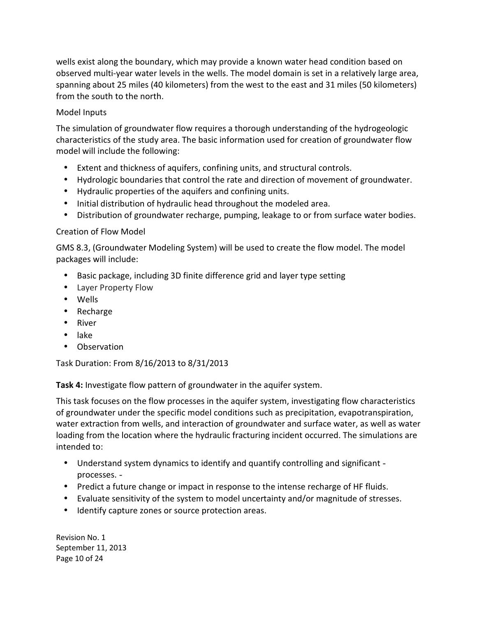wells exist along the boundary, which may provide a known water head condition based on observed multi-year water levels in the wells. The model domain is set in a relatively large area, spanning about 25 miles (40 kilometers) from the west to the east and 31 miles (50 kilometers) from the south to the north.

## Model Inputs

 The simulation of groundwater flow requires a thorough understanding of the hydrogeologic characteristics of the study area. The basic information used for creation of groundwater flow model will include the following:

- Extent and thickness of aquifers, confining units, and structural controls.
- • Hydrologic boundaries that control the rate and direction of movement of groundwater.
- • Hydraulic properties of the aquifers and confining units.
- Initial distribution of hydraulic head throughout the modeled area.
- Distribution of groundwater recharge, pumping, leakage to or from surface water bodies.

#### Creation of Flow Model

 GMS 8.3, (Groundwater Modeling System) will be used to create the flow model. The model packages will include:

- Basic package, including 3D finite difference grid and layer type setting
- • Layer Property Flow
- • Wells
- • Recharge
- • River
- • lake
- Observation

Task Duration: From 8/16/2013 to 8/31/2013

**Task 4:** Investigate flow pattern of groundwater in the aquifer system.

 This task focuses on the flow processes in the aquifer system, investigating flow characteristics of groundwater under the specific model conditions such as precipitation, evapotranspiration, water extraction from wells, and interaction of groundwater and surface water, as well as water loading from the location where the hydraulic fracturing incident occurred. The simulations are intended to:

- Understand system dynamics to identify and quantify controlling and significant processes.
- Predict a future change or impact in response to the intense recharge of HF fluids.
- Evaluate sensitivity of the system to model uncertainty and/or magnitude of stresses.
- • Identify capture zones or source protection areas.

 Revision No. 1 September 11, 2013 Page 10 of 24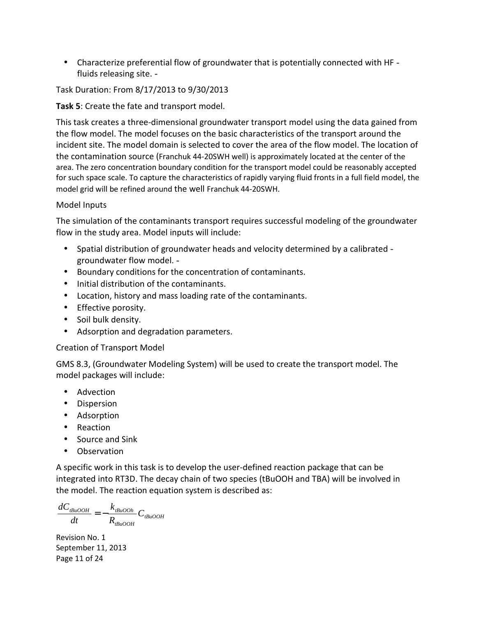• Characterize preferential flow of groundwater that is potentially connected with HF -fluids releasing site.

Task Duration: From 8/17/2013 to 9/30/2013

**Task 5**: Create the fate and transport model.

 This task creates a three-dimensional groundwater transport model using the data gained from the flow model. The model focuses on the basic characteristics of the transport around the incident site. The model domain is selected to cover the area of the flow model. The location of the contamination source (Franchuk 44-20SWH well) is approximately located at the center of the area. The zero concentration boundary condition for the transport model could be reasonably accepted for such space scale. To capture the characteristics of rapidly varying fluid fronts in a full field model, the model grid will be refined around the well Franchuk 44-20SWH.

## Model Inputs

 The simulation of the contaminants transport requires successful modeling of the groundwater flow in the study area. Model inputs will include:

- Spatial distribution of groundwater heads and velocity determined by a calibrated -groundwater flow model.
- • Boundary conditions for the concentration of contaminants.
- • Initial distribution of the contaminants.
- **•** Location, history and mass loading rate of the contaminants.
- • Effective porosity.
- • Soil bulk density.
- Adsorption and degradation parameters.

## Creation of Transport Model

 GMS 8.3, (Groundwater Modeling System) will be used to create the transport model. The model packages will include:

- Advection
- • Dispersion
- • Adsorption
- • Reaction
- Source and Sink
- • Observation

 A specific work in this task is to develop the user-defined reaction package that can be integrated into RT3D. The decay chain of two species (tBuOOH and TBA) will be involved in the model. The reaction equation system is described as:

 $dC_{tBuOOH}$  *k*  $_{tBuOOh}$  $\frac{E_{\mu OOH}}{dt} = -\frac{N_{t B u OOH}}{R_{t B u OOH}} C_{t B u OOH}$ 

 Revision No. 1 September 11, 2013 Page 11 of 24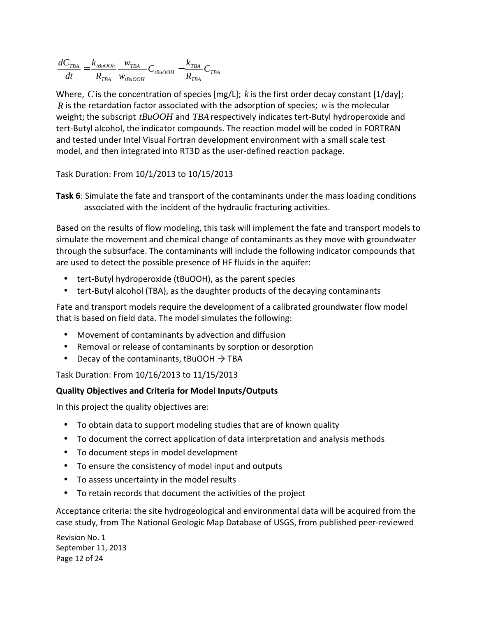$$
\frac{dC_{\text{TBA}}}{dt} = \frac{k_{\text{tBuOOh}}}{R_{\text{TBA}}}\frac{w_{\text{TBA}}}{w_{\text{tBuOOH}}}C_{\text{tBuOOH}} - \frac{k_{\text{TBA}}}{R_{\text{TBA}}}C_{\text{TBA}}
$$

 Where, *C* is the concentration of species [mg/L]; *k* is the first order decay constant [1/day]; *R* is the retardation factor associated with the adsorption of species; *w* is the molecular weight; the subscript *tBuOOH* and *TBA* respectively indicates tert-Butyl hydroperoxide and tert-Butyl alcohol, the indicator compounds. The reaction model will be coded in FORTRAN and tested under Intel Visual Fortran development environment with a small scale test model, and then integrated into RT3D as the user-defined reaction package.

Task Duration: From 10/1/2013 to 10/15/2013

 **Task 6**: Simulate the fate and transport of the contaminants under the mass loading conditions associated with the incident of the hydraulic fracturing activities.

 Based on the results of flow modeling, this task will implement the fate and transport models to simulate the movement and chemical change of contaminants as they move with groundwater through the subsurface. The contaminants will include the following indicator compounds that are used to detect the possible presence of HF fluids in the aquifer:

- tert-Butyl hydroperoxide (tBuOOH), as the parent species
- tert-Butyl alcohol (TBA), as the daughter products of the decaying contaminants

 Fate and transport models require the development of a calibrated groundwater flow model that is based on field data. The model simulates the following:

- Movement of contaminants by advection and diffusion
- Removal or release of contaminants by sorption or desorption
- Decay of the contaminants, tBuOOH  $\rightarrow$  TBA

Task Duration: From 10/16/2013 to 11/15/2013

## **Quality Objectives and Criteria for Model Inputs/Outputs**

In this project the quality objectives are:

- To obtain data to support modeling studies that are of known quality
- To document the correct application of data interpretation and analysis methods
- To document steps in model development
- To ensure the consistency of model input and outputs
- To assess uncertainty in the model results
- To retain records that document the activities of the project

 Acceptance criteria: the site hydrogeological and environmental data will be acquired from the case study, from The National Geologic Map Database of USGS, from published peer-reviewed

 Revision No. 1 September 11, 2013 Page 12 of 24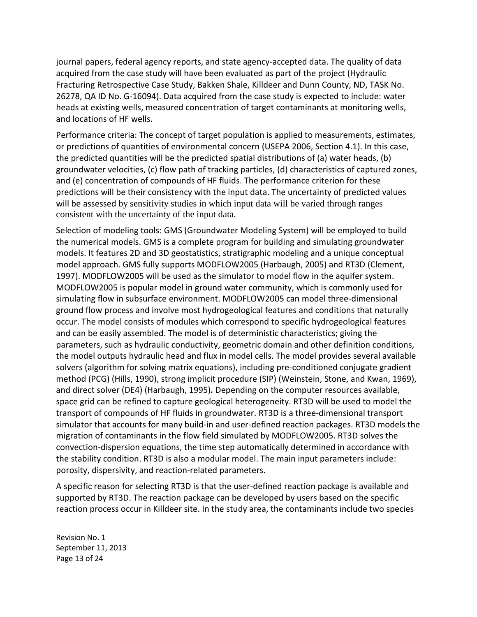journal papers, federal agency reports, and state agency-accepted data. The quality of data acquired from the case study will have been evaluated as part of the project (Hydraulic Fracturing Retrospective Case Study, Bakken Shale, Killdeer and Dunn County, ND, TASK No. 26278, QA ID No. G-16094). Data acquired from the case study is expected to include: water heads at existing wells, measured concentration of target contaminants at monitoring wells, and locations of HF wells.

 Performance criteria: The concept of target population is applied to measurements, estimates, or predictions of quantities of environmental concern (USEPA 2006, Section 4.1). In this case, the predicted quantities will be the predicted spatial distributions of (a) water heads, (b) groundwater velocities, (c) flow path of tracking particles, (d) characteristics of captured zones, and (e) concentration of compounds of HF fluids. The performance criterion for these predictions will be their consistency with the input data. The uncertainty of predicted values will be assessed by sensitivity studies in which input data will be varied through ranges consistent with the uncertainty of the input data.

 Selection of modeling tools: GMS (Groundwater Modeling System) will be employed to build the numerical models. GMS is a complete program for building and simulating groundwater models. It features 2D and 3D geostatistics, stratigraphic modeling and a unique conceptual model approach. GMS fully supports MODFLOW2005 (Harbaugh, 2005) and RT3D (Clement, 1997). MODFLOW2005 will be used as the simulator to model flow in the aquifer system. MODFLOW2005 is popular model in ground water community, which is commonly used for simulating flow in subsurface environment. MODFLOW2005 can model three-dimensional ground flow process and involve most hydrogeological features and conditions that naturally occur. The model consists of modules which correspond to specific hydrogeological features and can be easily assembled. The model is of deterministic characteristics; giving the parameters, such as hydraulic conductivity, geometric domain and other definition conditions, the model outputs hydraulic head and flux in model cells. The model provides several available solvers (algorithm for solving matrix equations), including pre-conditioned conjugate gradient method (PCG) (Hills, 1990), strong implicit procedure (SIP) (Weinstein, Stone, and Kwan, 1969), and direct solver (DE4) (Harbaugh, 1995)*.* Depending on the computer resources available, space grid can be refined to capture geological heterogeneity. RT3D will be used to model the transport of compounds of HF fluids in groundwater. RT3D is a three-dimensional transport simulator that accounts for many build-in and user-defined reaction packages. RT3D models the migration of contaminants in the flow field simulated by MODFLOW2005. RT3D solves the convection-dispersion equations, the time step automatically determined in accordance with the stability condition. RT3D is also a modular model. The main input parameters include: porosity, dispersivity, and reaction-related parameters.

 A specific reason for selecting RT3D is that the user-defined reaction package is available and supported by RT3D. The reaction package can be developed by users based on the specific reaction process occur in Killdeer site. In the study area, the contaminants include two species

 Revision No. 1 September 11, 2013 Page 13 of 24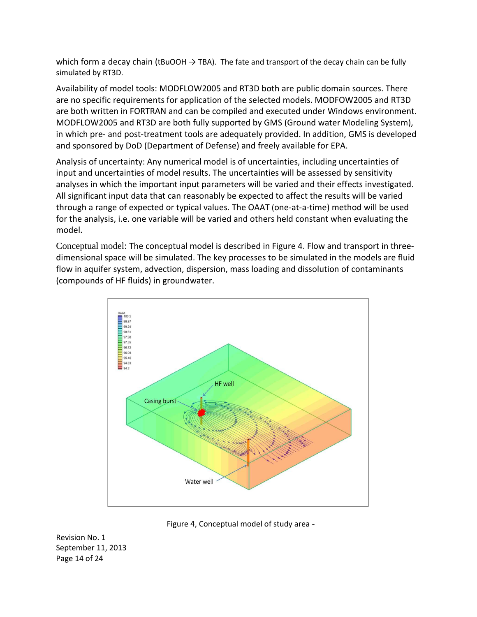which form a decay chain (tBuOOH  $\rightarrow$  TBA). The fate and transport of the decay chain can be fully simulated by RT3D.

 Availability of model tools: MODFLOW2005 and RT3D both are public domain sources. There are no specific requirements for application of the selected models. MODFOW2005 and RT3D are both written in FORTRAN and can be compiled and executed under Windows environment. MODFLOW2005 and RT3D are both fully supported by GMS (Ground water Modeling System), in which pre- and post-treatment tools are adequately provided. In addition, GMS is developed and sponsored by DoD (Department of Defense) and freely available for EPA.

 Analysis of uncertainty: Any numerical model is of uncertainties, including uncertainties of input and uncertainties of model results. The uncertainties will be assessed by sensitivity analyses in which the important input parameters will be varied and their effects investigated. All significant input data that can reasonably be expected to affect the results will be varied through a range of expected or typical values. The OAAT (one-at-a-time) method will be used for the analysis, i.e. one variable will be varied and others held constant when evaluating the model.

 Conceptual model: The conceptual model is described in Figure 4. Flow and transport in three- dimensional space will be simulated. The key processes to be simulated in the models are fluid flow in aquifer system, advection, dispersion, mass loading and dissolution of contaminants (compounds of HF fluids) in groundwater.



Figure 4, Conceptual model of study area

 Revision No. 1 September 11, 2013 Page 14 of 24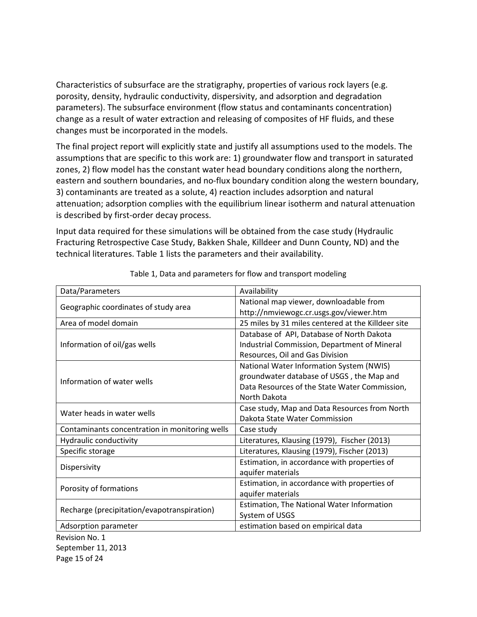Characteristics of subsurface are the stratigraphy, properties of various rock layers (e.g. porosity, density, hydraulic conductivity, dispersivity, and adsorption and degradation parameters). The subsurface environment (flow status and contaminants concentration) change as a result of water extraction and releasing of composites of HF fluids, and these changes must be incorporated in the models.

 The final project report will explicitly state and justify all assumptions used to the models. The assumptions that are specific to this work are: 1) groundwater flow and transport in saturated zones, 2) flow model has the constant water head boundary conditions along the northern, eastern and southern boundaries, and no-flux boundary condition along the western boundary, 3) contaminants are treated as a solute, 4) reaction includes adsorption and natural attenuation; adsorption complies with the equilibrium linear isotherm and natural attenuation is described by first-order decay process.

 Input data required for these simulations will be obtained from the case study (Hydraulic Fracturing Retrospective Case Study, Bakken Shale, Killdeer and Dunn County, ND) and the technical literatures. Table 1 lists the parameters and their availability.

| Data/Parameters                                | Availability                                       |
|------------------------------------------------|----------------------------------------------------|
| Geographic coordinates of study area           | National map viewer, downloadable from             |
|                                                | http://nmviewogc.cr.usgs.gov/viewer.htm            |
| Area of model domain                           | 25 miles by 31 miles centered at the Killdeer site |
|                                                | Database of API, Database of North Dakota          |
| Information of oil/gas wells                   | Industrial Commission, Department of Mineral       |
|                                                | Resources, Oil and Gas Division                    |
| Information of water wells                     | National Water Information System (NWIS)           |
|                                                | groundwater database of USGS, the Map and          |
|                                                | Data Resources of the State Water Commission,      |
|                                                | North Dakota                                       |
| Water heads in water wells                     | Case study, Map and Data Resources from North      |
|                                                | Dakota State Water Commission                      |
| Contaminants concentration in monitoring wells | Case study                                         |
| Hydraulic conductivity                         | Literatures, Klausing (1979), Fischer (2013)       |
| Specific storage                               | Literatures, Klausing (1979), Fischer (2013)       |
|                                                | Estimation, in accordance with properties of       |
| Dispersivity                                   | aquifer materials                                  |
| Porosity of formations                         | Estimation, in accordance with properties of       |
|                                                | aquifer materials                                  |
| Recharge (precipitation/evapotranspiration)    | Estimation, The National Water Information         |
|                                                | System of USGS                                     |
| Adsorption parameter                           | estimation based on empirical data                 |
| Revision No. 1                                 |                                                    |

Table 1, Data and parameters for flow and transport modeling

 September 11, 2013 Page 15 of 24 Revision No. 1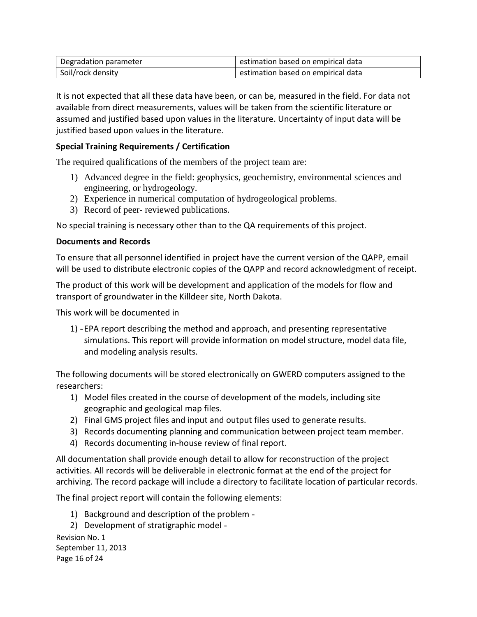| Degradation parameter | estimation based on empirical data |
|-----------------------|------------------------------------|
| Soil/rock density     | estimation based on empirical data |

 It is not expected that all these data have been, or can be, measured in the field. For data not available from direct measurements, values will be taken from the scientific literature or assumed and justified based upon values in the literature. Uncertainty of input data will be justified based upon values in the literature.

## **Special Training Requirements / Certification**

The required qualifications of the members of the project team are:

- 1) Advanced degree in the field: geophysics, geochemistry, environmental sciences and engineering, or hydrogeology.
- 2) Experience in numerical computation of hydrogeological problems.
- 3) Record of peer- reviewed publications.

No special training is necessary other than to the QA requirements of this project.

#### **Documents and Records**

 To ensure that all personnel identified in project have the current version of the QAPP, email will be used to distribute electronic copies of the QAPP and record acknowledgment of receipt.

 The product of this work will be development and application of the models for flow and transport of groundwater in the Killdeer site, North Dakota.

This work will be documented in

1) - EPA report describing the method and approach, and presenting representative simulations. This report will provide information on model structure, model data file, and modeling analysis results.

 The following documents will be stored electronically on GWERD computers assigned to the researchers:

- 1) Model files created in the course of development of the models, including site geographic and geological map files.
- 2) Final GMS project files and input and output files used to generate results.
- 3) Records documenting planning and communication between project team member.
- 4) Records documenting in-house review of final report.

 All documentation shall provide enough detail to allow for reconstruction of the project activities. All records will be deliverable in electronic format at the end of the project for archiving. The record package will include a directory to facilitate location of particular records.

The final project report will contain the following elements:

1) Background and description of the problem

2) Development of stratigraphic model

 Revision No. 1 September 11, 2013 Page 16 of 24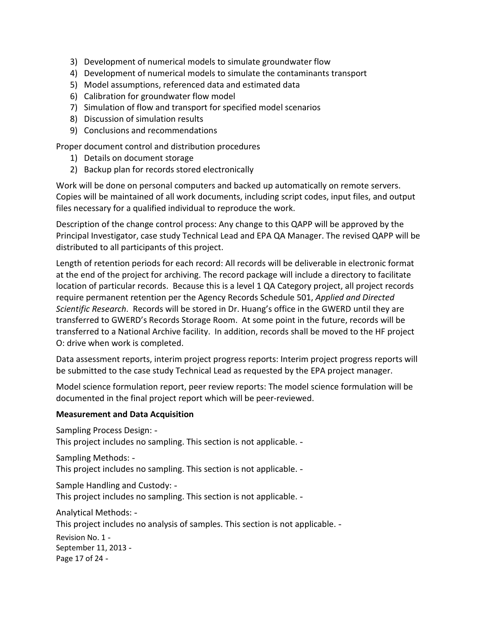- 3) Development of numerical models to simulate groundwater flow
- 4) Development of numerical models to simulate the contaminants transport
- 5) Model assumptions, referenced data and estimated data
- 6) Calibration for groundwater flow model
- 7) Simulation of flow and transport for specified model scenarios
- 8) Discussion of simulation results
- 9) Conclusions and recommendations

Proper document control and distribution procedures

- 1) Details on document storage
- 2) Backup plan for records stored electronically

 Work will be done on personal computers and backed up automatically on remote servers. Copies will be maintained of all work documents, including script codes, input files, and output files necessary for a qualified individual to reproduce the work.

 Description of the change control process: Any change to this QAPP will be approved by the Principal Investigator, case study Technical Lead and EPA QA Manager. The revised QAPP will be distributed to all participants of this project.

 Length of retention periods for each record: All records will be deliverable in electronic format at the end of the project for archiving. The record package will include a directory to facilitate location of particular records. Because this is a level 1 QA Category project, all project records require permanent retention per the Agency Records Schedule 501, *Applied and Directed Scientific Research*. Records will be stored in Dr. Huang's office in the GWERD until they are transferred to GWERD's Records Storage Room. At some point in the future, records will be transferred to a National Archive facility. In addition, records shall be moved to the HF project O: drive when work is completed.

 Data assessment reports, interim project progress reports: Interim project progress reports will be submitted to the case study Technical Lead as requested by the EPA project manager.

 Model science formulation report, peer review reports: The model science formulation will be documented in the final project report which will be peer-reviewed.

#### **Measurement and Data Acquisition**

 Sampling Process Design: This project includes no sampling. This section is not applicable.

 Sampling Methods: This project includes no sampling. This section is not applicable.

 Sample Handling and Custody: This project includes no sampling. This section is not applicable.

 Revision No. 1 September 11, 2013 Page 17 of 24 Analytical Methods: This project includes no analysis of samples. This section is not applicable.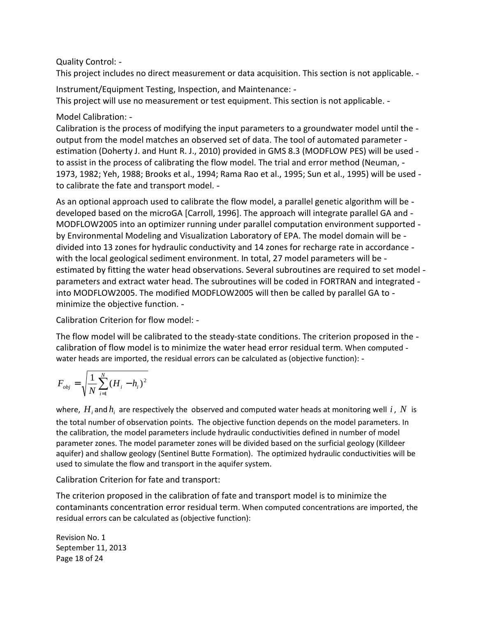Quality Control:

This project includes no direct measurement or data acquisition. This section is not applicable.

 Instrument/Equipment Testing, Inspection, and Maintenance: This project will use no measurement or test equipment. This section is not applicable.

Model Calibration:

Calibration is the process of modifying the input parameters to a groundwater model until the output from the model matches an observed set of data. The tool of automated parameter estimation (Doherty J. and Hunt R. J., 2010) provided in GMS 8.3 (MODFLOW PES) will be used - to assist in the process of calibrating the flow model. The trial and error method (Neuman, 1973, 1982; Yeh, 1988; Brooks et al., 1994; Rama Rao et al., 1995; Sun et al., 1995) will be used to calibrate the fate and transport model.

As an optional approach used to calibrate the flow model, a parallel genetic algorithm will be - developed based on the microGA [Carroll, 1996]. The approach will integrate parallel GA and MODFLOW2005 into an optimizer running under parallel computation environment supported by Environmental Modeling and Visualization Laboratory of EPA. The model domain will be divided into 13 zones for hydraulic conductivity and 14 zones for recharge rate in accordance with the local geological sediment environment. In total, 27 model parameters will be estimated by fitting the water head observations. Several subroutines are required to set model parameters and extract water head. The subroutines will be coded in FORTRAN and integrated into MODFLOW2005. The modified MODFLOW2005 will then be called by parallel GA to minimize the objective function.

Calibration Criterion for flow model:

The flow model will be calibrated to the steady-state conditions. The criterion proposed in the - calibration of flow model is to minimize the water head error residual term. When computed water heads are imported, the residual errors can be calculated as (objective function):

$$
F_{obj} = \sqrt{\frac{1}{N} \sum_{i=1}^{N} (H_i - h_i)^2}
$$

where,  $H_i$  and  $h_i$  are respectively the observed and computed water heads at monitoring well  $i$  ,  $N$  is the total number of observation points. The objective function depends on the model parameters. In the calibration, the model parameters include hydraulic conductivities defined in number of model parameter zones. The model parameter zones will be divided based on the surficial geology (Killdeer aquifer) and shallow geology (Sentinel Butte Formation). The optimized hydraulic conductivities will be used to simulate the flow and transport in the aquifer system.

Calibration Criterion for fate and transport:

 The criterion proposed in the calibration of fate and transport model is to minimize the contaminants concentration error residual term. When computed concentrations are imported, the residual errors can be calculated as (objective function):

 Revision No. 1 September 11, 2013 Page 18 of 24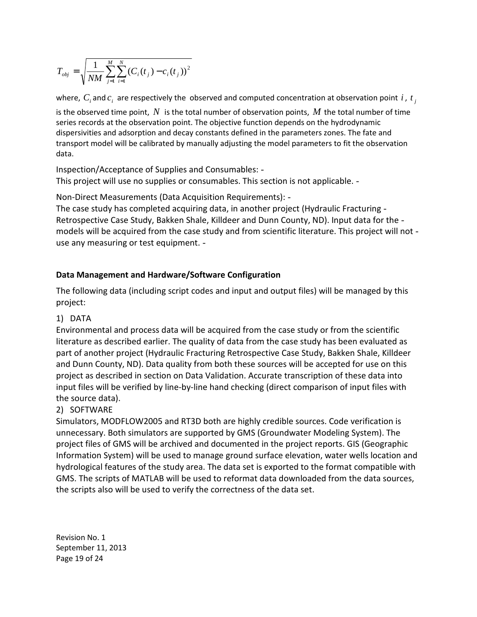$$
T_{obj} = \sqrt{\frac{1}{NM} \sum_{j=1}^{M} \sum_{i=1}^{N} (C_i(t_j) - c_i(t_j))^2}
$$

where,  $C_i$  and  $c_i$  are respectively the observed and computed concentration at observation point  $i$  ,  $t_j$ 

is the observed time point,  $N$  is the total number of observation points,  $M$  the total number of time series records at the observation point. The objective function depends on the hydrodynamic dispersivities and adsorption and decay constants defined in the parameters zones. The fate and transport model will be calibrated by manually adjusting the model parameters to fit the observation data.

data.<br>Inspection/Acceptance of Supplies and Consumables: -This project will use no supplies or consumables. This section is not applicable.

Non-Direct Measurements (Data Acquisition Requirements):

 The case study has completed acquiring data, in another project (Hydraulic Fracturing Retrospective Case Study, Bakken Shale, Killdeer and Dunn County, ND). Input data for the models will be acquired from the case study and from scientific literature. This project will not use any measuring or test equipment.

## **Data Management and Hardware/Software Configuration**

 The following data (including script codes and input and output files) will be managed by this project:

## 1) DATA

 Environmental and process data will be acquired from the case study or from the scientific literature as described earlier. The quality of data from the case study has been evaluated as part of another project (Hydraulic Fracturing Retrospective Case Study, Bakken Shale, Killdeer and Dunn County, ND). Data quality from both these sources will be accepted for use on this project as described in section on Data Validation. Accurate transcription of these data into input files will be verified by line-by-line hand checking (direct comparison of input files with the source data).

## 2) SOFTWARE

 Simulators, MODFLOW2005 and RT3D both are highly credible sources. Code verification is unnecessary. Both simulators are supported by GMS (Groundwater Modeling System). The project files of GMS will be archived and documented in the project reports. GIS (Geographic Information System) will be used to manage ground surface elevation, water wells location and hydrological features of the study area. The data set is exported to the format compatible with GMS. The scripts of MATLAB will be used to reformat data downloaded from the data sources, the scripts also will be used to verify the correctness of the data set.

 Revision No. 1 September 11, 2013 Page 19 of 24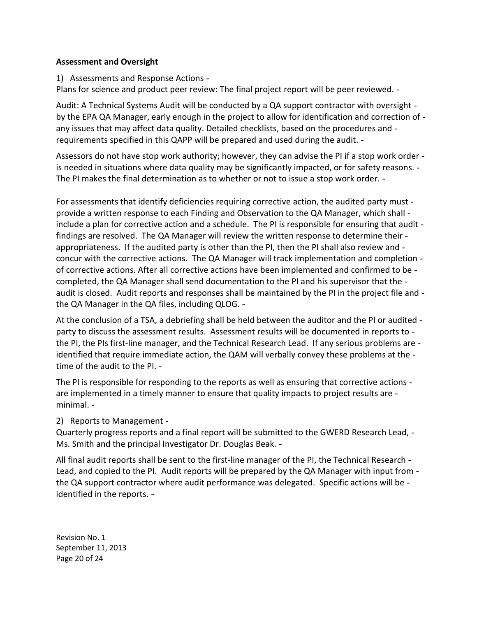#### **Assessment and Oversight**

1) Assessments and Response Actions

Plans for science and product peer review: The final project report will be peer reviewed. -

Audit: A Technical Systems Audit will be conducted by a QA support contractor with oversight by the EPA QA Manager, early enough in the project to allow for identification and correction of any issues that may affect data quality. Detailed checklists, based on the procedures and -requirements specified in this QAPP will be prepared and used during the audit.

Assessors do not have stop work authority; however, they can advise the PI if a stop work order is needed in situations where data quality may be significantly impacted, or for safety reasons. -The PI makes the final determination as to whether or not to issue a stop work order.

For assessments that identify deficiencies requiring corrective action, the audited party must provide a written response to each Finding and Observation to the QA Manager, which shall - include a plan for corrective action and a schedule. The PI is responsible for ensuring that audit findings are resolved. The QA Manager will review the written response to determine their appropriateness. If the audited party is other than the PI, then the PI shall also review and - concur with the corrective actions. The QA Manager will track implementation and completion of corrective actions. After all corrective actions have been implemented and confirmed to be completed, the QA Manager shall send documentation to the PI and his supervisor that the audit is closed. Audit reports and responses shall be maintained by the PI in the project file and -the QA Manager in the QA files, including QLOG.

At the conclusion of a TSA, a debriefing shall be held between the auditor and the PI or audited party to discuss the assessment results. Assessment results will be documented in reports to - the PI, the PIs first-line manager, and the Technical Research Lead. If any serious problems are identified that require immediate action, the QAM will verbally convey these problems at the -time of the audit to the PI.

The PI is responsible for responding to the reports as well as ensuring that corrective actions are implemented in a timely manner to ensure that quality impacts to project results are minimal.

#### 2) Reports to Management

 Quarterly progress reports and a final report will be submitted to the GWERD Research Lead, Ms. Smith and the principal Investigator Dr. Douglas Beak.

 All final audit reports shall be sent to the first-line manager of the PI, the Technical Research Lead, and copied to the PI. Audit reports will be prepared by the QA Manager with input from - the QA support contractor where audit performance was delegated. Specific actions will be identified in the reports.

 Revision No. 1 September 11, 2013 Page 20 of 24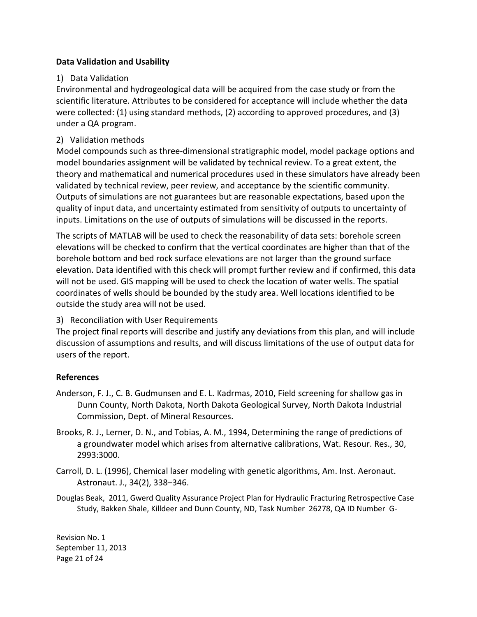#### **Data Validation and Usability**

## 1) Data Validation

 Environmental and hydrogeological data will be acquired from the case study or from the scientific literature. Attributes to be considered for acceptance will include whether the data were collected: (1) using standard methods, (2) according to approved procedures, and (3) under a QA program.

## 2) Validation methods

 Model compounds such as three-dimensional stratigraphic model, model package options and model boundaries assignment will be validated by technical review. To a great extent, the theory and mathematical and numerical procedures used in these simulators have already been validated by technical review, peer review, and acceptance by the scientific community. Outputs of simulations are not guarantees but are reasonable expectations, based upon the quality of input data, and uncertainty estimated from sensitivity of outputs to uncertainty of inputs. Limitations on the use of outputs of simulations will be discussed in the reports.

 The scripts of MATLAB will be used to check the reasonability of data sets: borehole screen elevations will be checked to confirm that the vertical coordinates are higher than that of the borehole bottom and bed rock surface elevations are not larger than the ground surface elevation. Data identified with this check will prompt further review and if confirmed, this data will not be used. GIS mapping will be used to check the location of water wells. The spatial coordinates of wells should be bounded by the study area. Well locations identified to be outside the study area will not be used.

## 3) Reconciliation with User Requirements

 The project final reports will describe and justify any deviations from this plan, and will include discussion of assumptions and results, and will discuss limitations of the use of output data for users of the report.

## **References**

- Anderson, F. J., C. B. Gudmunsen and E. L. Kadrmas, 2010, Field screening for shallow gas in Dunn County, North Dakota, North Dakota Geological Survey, North Dakota Industrial Commission, Dept. of Mineral Resources.
- Brooks, R. J., Lerner, D. N., and Tobias, A. M., 1994, Determining the range of predictions of a groundwater model which arises from alternative calibrations, Wat. Resour. Res., 30, 2993:3000.
- Carroll, D. L. (1996), Chemical laser modeling with genetic algorithms, Am. Inst. Aeronaut. Astronaut. J., 34(2), 338–346.
- Douglas Beak, 2011, Gwerd Quality Assurance Project Plan for Hydraulic Fracturing Retrospective Case Study, Bakken Shale, Killdeer and Dunn County, ND, Task Number 26278, QA ID Number G-

 Revision No. 1 September 11, 2013 Page 21 of 24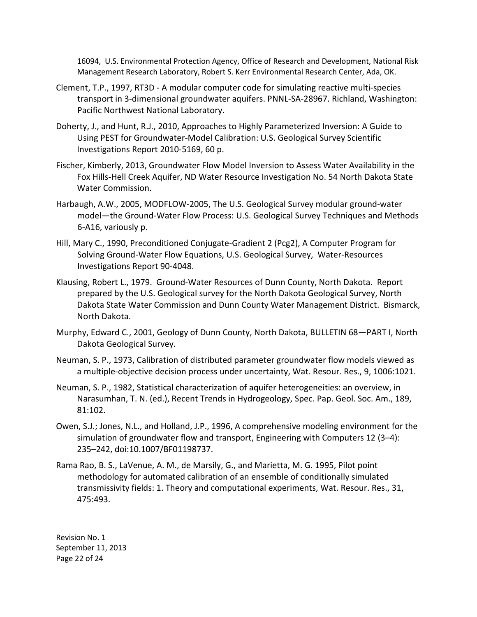16094, U.S. Environmental Protection Agency, Office of Research and Development, National Risk Management Research Laboratory, Robert S. Kerr Environmental Research Center, Ada, OK.

- Clement, T.P., 1997, RT3D A modular computer code for simulating reactive multi-species transport in 3-dimensional groundwater aquifers. PNNL-SA-28967. Richland, Washington: Pacific Northwest National Laboratory.
- Doherty, J., and Hunt, R.J., 2010, Approaches to Highly Parameterized Inversion: A Guide to Using PEST for Groundwater-Model Calibration: U.S. Geological Survey Scientific Investigations Report 2010-5169, 60 p.
- Fischer, Kimberly, 2013, Groundwater Flow Model Inversion to Assess Water Availability in the Fox Hills-Hell Creek Aquifer, ND Water Resource Investigation No. 54 North Dakota State Water Commission.
- Harbaugh, A.W., 2005, MODFLOW-2005, The U.S. Geological Survey modular ground-water model—the Ground-Water Flow Process: U.S. Geological Survey Techniques and Methods 6-A16, variously p.
- Hill, Mary C., 1990, Preconditioned Conjugate-Gradient 2 (Pcg2), A Computer Program for Solving Ground-Water Flow Equations, U.S. Geological Survey, Water-Resources Investigations Report 90-4048.
- Klausing, Robert L., 1979. Ground-Water Resources of Dunn County, North Dakota. Report prepared by the U.S. Geological survey for the North Dakota Geological Survey, North Dakota State Water Commission and Dunn County Water Management District. Bismarck, North Dakota.
- Murphy, Edward C., 2001, Geology of Dunn County, North Dakota, BULLETIN 68—PART I, North Dakota Geological Survey.
- Neuman, S. P., 1973, Calibration of distributed parameter groundwater flow models viewed as a multiple-objective decision process under uncertainty, Wat. Resour. Res., 9, 1006:1021.
- Neuman, S. P., 1982, Statistical characterization of aquifer heterogeneities: an overview, in Narasumhan, T. N. (ed.), Recent Trends in Hydrogeology, Spec. Pap. Geol. Soc. Am., 189, 81:102.
- Owen, S.J.; Jones, N.L., and Holland, J.P., 1996, A comprehensive modeling environment for the simulation of groundwater flow and transport, Engineering with Computers 12 (3–4): 235–242, doi:10.1007/BF01198737.
- Rama Rao, B. S., LaVenue, A. M., de Marsily, G., and Marietta, M. G. 1995, Pilot point methodology for automated calibration of an ensemble of conditionally simulated transmissivity fields: 1. Theory and computational experiments, Wat. Resour. Res., 31, 475:493.

 Revision No. 1 September 11, 2013 Page 22 of 24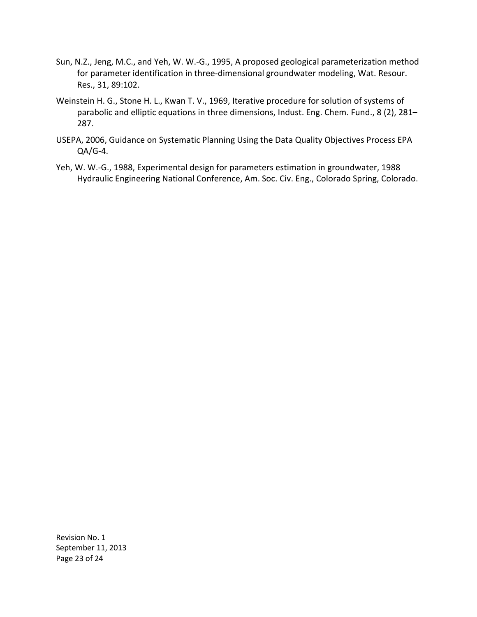- Sun, N.Z., Jeng, M.C., and Yeh, W. W.-G., 1995, A proposed geological parameterization method for parameter identification in three-dimensional groundwater modeling, Wat. Resour. Res., 31, 89:102.
- Weinstein H. G., Stone H. L., Kwan T. V., 1969, Iterative procedure for solution of systems of parabolic and elliptic equations in three dimensions, Indust. Eng. Chem. Fund., 8 (2), 281– 287.
- USEPA, 2006, Guidance on Systematic Planning Using the Data Quality Objectives Process EPA QA/G-4.
- Yeh, W. W.-G., 1988, Experimental design for parameters estimation in groundwater, 1988 Hydraulic Engineering National Conference, Am. Soc. Civ. Eng., Colorado Spring, Colorado.

 Revision No. 1 September 11, 2013 Page 23 of 24